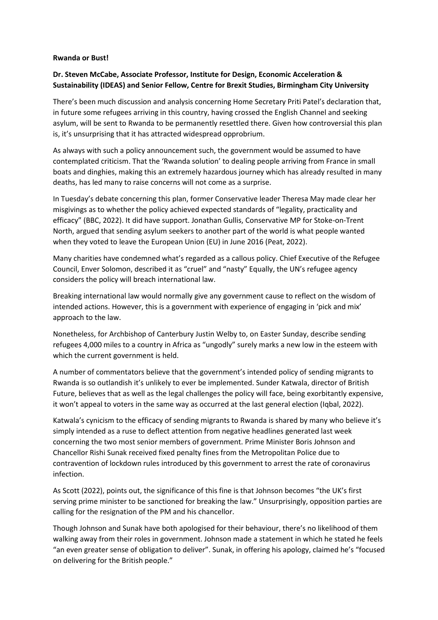## **Rwanda or Bust!**

## **Dr. Steven McCabe, Associate Professor, Institute for Design, Economic Acceleration & Sustainability (IDEAS) and Senior Fellow, Centre for Brexit Studies, Birmingham City University**

There's been much discussion and analysis concerning Home Secretary Priti Patel's declaration that, in future some refugees arriving in this country, having crossed the English Channel and seeking asylum, will be sent to Rwanda to be permanently resettled there. Given how controversial this plan is, it's unsurprising that it has attracted widespread opprobrium.

As always with such a policy announcement such, the government would be assumed to have contemplated criticism. That the 'Rwanda solution' to dealing people arriving from France in small boats and dinghies, making this an extremely hazardous journey which has already resulted in many deaths, has led many to raise concerns will not come as a surprise.

In Tuesday's debate concerning this plan, former Conservative leader Theresa May made clear her misgivings as to whether the policy achieved expected standards of "legality, practicality and efficacy" (BBC, 2022). It did have support. Jonathan Gullis, Conservative MP for Stoke-on-Trent North, argued that sending asylum seekers to another part of the world is what people wanted when they voted to leave the European Union (EU) in June 2016 (Peat, 2022).

Many charities have condemned what's regarded as a callous policy. Chief Executive of the Refugee Council, Enver Solomon, described it as "cruel" and "nasty" Equally, the UN's refugee agency considers the policy will breach international law.

Breaking international law would normally give any government cause to reflect on the wisdom of intended actions. However, this is a government with experience of engaging in 'pick and mix' approach to the law.

Nonetheless, for Archbishop of Canterbury Justin Welby to, on Easter Sunday, describe sending refugees 4,000 miles to a country in Africa as "ungodly" surely marks a new low in the esteem with which the current government is held.

A number of commentators believe that the government's intended policy of sending migrants to Rwanda is so outlandish it's unlikely to ever be implemented. Sunder Katwala, director of British Future, believes that as well as the legal challenges the policy will face, being exorbitantly expensive, it won't appeal to voters in the same way as occurred at the last general election (Iqbal, 2022).

Katwala's cynicism to the efficacy of sending migrants to Rwanda is shared by many who believe it's simply intended as a ruse to deflect attention from negative headlines generated last week concerning the two most senior members of government. Prime Minister Boris Johnson and Chancellor Rishi Sunak received fixed penalty fines from the Metropolitan Police due to contravention of lockdown rules introduced by this government to arrest the rate of coronavirus infection.

As Scott (2022), points out, the significance of this fine is that Johnson becomes "the UK's first serving prime minister to be sanctioned for breaking the law." Unsurprisingly, opposition parties are calling for the resignation of the PM and his chancellor.

Though Johnson and Sunak have both apologised for their behaviour, there's no likelihood of them walking away from their roles in government. Johnson made a statement in which he stated he feels "an even greater sense of obligation to deliver". Sunak, in offering his apology, claimed he's "focused on delivering for the British people."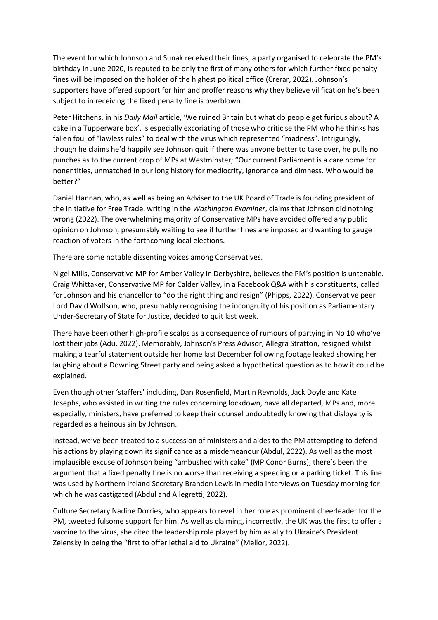The event for which Johnson and Sunak received their fines, a party organised to celebrate the PM's birthday in June 2020, is reputed to be only the first of many others for which further fixed penalty fines will be imposed on the holder of the highest political office (Crerar, 2022). Johnson's supporters have offered support for him and proffer reasons why they believe vilification he's been subject to in receiving the fixed penalty fine is overblown.

Peter Hitchens, in his *Daily Mail* article, 'We ruined Britain but what do people get furious about? A cake in a Tupperware box', is especially excoriating of those who criticise the PM who he thinks has fallen foul of "lawless rules" to deal with the virus which represented "madness". Intriguingly, though he claims he'd happily see Johnson quit if there was anyone better to take over, he pulls no punches as to the current crop of MPs at Westminster; "Our current Parliament is a care home for nonentities, unmatched in our long history for mediocrity, ignorance and dimness. Who would be better?"

Daniel Hannan, who, as well as being an Adviser to the UK Board of Trade is founding president of the Initiative for Free Trade, writing in the *Washington Examiner*, claims that Johnson did nothing wrong (2022). The overwhelming majority of Conservative MPs have avoided offered any public opinion on Johnson, presumably waiting to see if further fines are imposed and wanting to gauge reaction of voters in the forthcoming local elections.

There are some notable dissenting voices among Conservatives.

Nigel Mills, Conservative MP for Amber Valley in Derbyshire, believes the PM's position is untenable. Craig Whittaker, Conservative MP for Calder Valley, in a Facebook Q&A with his constituents, called for Johnson and his chancellor to "do the right thing and resign" (Phipps, 2022). Conservative peer Lord David Wolfson, who, presumably recognising the incongruity of his position as Parliamentary Under-Secretary of State for Justice, decided to quit last week.

There have been other high-profile scalps as a consequence of rumours of partying in No 10 who've lost their jobs (Adu, 2022). Memorably, Johnson's Press Advisor, Allegra Stratton, resigned whilst making a tearful statement outside her home last December following footage leaked showing her laughing about a Downing Street party and being asked a hypothetical question as to how it could be explained.

Even though other 'staffers' including, Dan Rosenfield, Martin Reynolds, Jack Doyle and Kate Josephs, who assisted in writing the rules concerning lockdown, have all departed, MPs and, more especially, ministers, have preferred to keep their counsel undoubtedly knowing that disloyalty is regarded as a heinous sin by Johnson.

Instead, we've been treated to a succession of ministers and aides to the PM attempting to defend his actions by playing down its significance as a misdemeanour (Abdul, 2022). As well as the most implausible excuse of Johnson being "ambushed with cake" (MP Conor Burns), there's been the argument that a fixed penalty fine is no worse than receiving a speeding or a parking ticket. This line was used by Northern Ireland Secretary Brandon Lewis in media interviews on Tuesday morning for which he was castigated (Abdul and Allegretti, 2022).

Culture Secretary Nadine Dorries, who appears to revel in her role as prominent cheerleader for the PM, tweeted fulsome support for him. As well as claiming, incorrectly, the UK was the first to offer a vaccine to the virus, she cited the leadership role played by him as ally to Ukraine's President Zelensky in being the "first to offer lethal aid to Ukraine" (Mellor, 2022).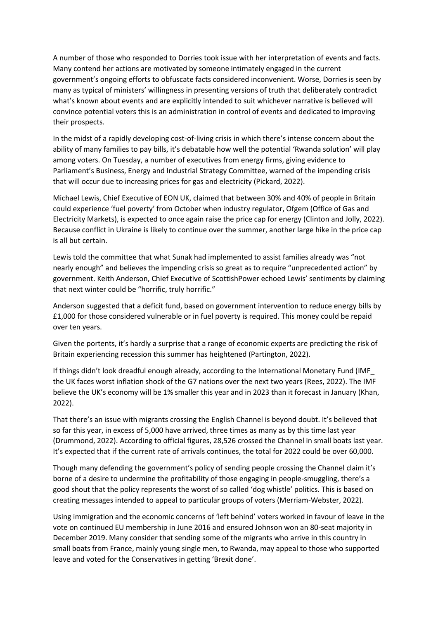A number of those who responded to Dorries took issue with her interpretation of events and facts. Many contend her actions are motivated by someone intimately engaged in the current government's ongoing efforts to obfuscate facts considered inconvenient. Worse, Dorries is seen by many as typical of ministers' willingness in presenting versions of truth that deliberately contradict what's known about events and are explicitly intended to suit whichever narrative is believed will convince potential voters this is an administration in control of events and dedicated to improving their prospects.

In the midst of a rapidly developing cost-of-living crisis in which there's intense concern about the ability of many families to pay bills, it's debatable how well the potential 'Rwanda solution' will play among voters. On Tuesday, a number of executives from energy firms, giving evidence to Parliament's Business, Energy and Industrial Strategy Committee, warned of the impending crisis that will occur due to increasing prices for gas and electricity (Pickard, 2022).

Michael Lewis, Chief Executive of EON UK, claimed that between 30% and 40% of people in Britain could experience 'fuel poverty' from October when industry regulator, Ofgem (Office of Gas and Electricity Markets), is expected to once again raise the price cap for energy (Clinton and Jolly, 2022). Because conflict in Ukraine is likely to continue over the summer, another large hike in the price cap is all but certain.

Lewis told the committee that what Sunak had implemented to assist families already was "not nearly enough" and believes the impending crisis so great as to require "unprecedented action" by government. Keith Anderson, Chief Executive of ScottishPower echoed Lewis' sentiments by claiming that next winter could be "horrific, truly horrific."

Anderson suggested that a deficit fund, based on government intervention to reduce energy bills by £1,000 for those considered vulnerable or in fuel poverty is required. This money could be repaid over ten years.

Given the portents, it's hardly a surprise that a range of economic experts are predicting the risk of Britain experiencing recession this summer has heightened (Partington, 2022).

If things didn't look dreadful enough already, according to the International Monetary Fund (IMF\_ the UK faces worst inflation shock of the G7 nations over the next two years (Rees, 2022). The IMF believe the UK's economy will be 1% smaller this year and in 2023 than it forecast in January (Khan, 2022).

That there's an issue with migrants crossing the English Channel is beyond doubt. It's believed that so far this year, in excess of 5,000 have arrived, three times as many as by this time last year (Drummond, 2022). According to official figures, 28,526 crossed the Channel in small boats last year. It's expected that if the current rate of arrivals continues, the total for 2022 could be over 60,000.

Though many defending the government's policy of sending people crossing the Channel claim it's borne of a desire to undermine the profitability of those engaging in people-smuggling, there's a good shout that the policy represents the worst of so called 'dog whistle' politics. This is based on creating messages intended to appeal to particular groups of voters (Merriam-Webster, 2022).

Using immigration and the economic concerns of 'left behind' voters worked in favour of leave in the vote on continued EU membership in June 2016 and ensured Johnson won an 80-seat majority in December 2019. Many consider that sending some of the migrants who arrive in this country in small boats from France, mainly young single men, to Rwanda, may appeal to those who supported leave and voted for the Conservatives in getting 'Brexit done'.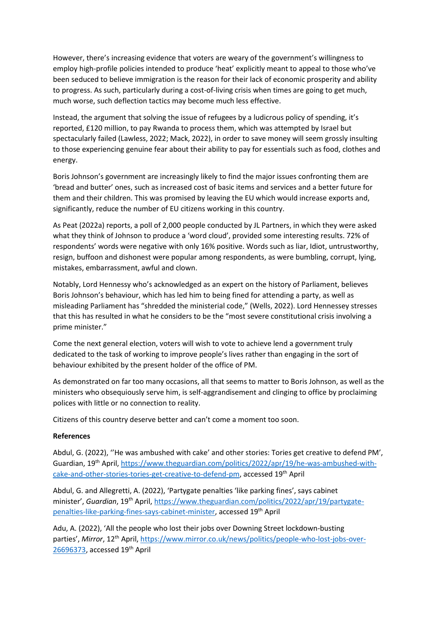However, there's increasing evidence that voters are weary of the government's willingness to employ high-profile policies intended to produce 'heat' explicitly meant to appeal to those who've been seduced to believe immigration is the reason for their lack of economic prosperity and ability to progress. As such, particularly during a cost-of-living crisis when times are going to get much, much worse, such deflection tactics may become much less effective.

Instead, the argument that solving the issue of refugees by a ludicrous policy of spending, it's reported, £120 million, to pay Rwanda to process them, which was attempted by Israel but spectacularly failed (Lawless, 2022; Mack, 2022), in order to save money will seem grossly insulting to those experiencing genuine fear about their ability to pay for essentials such as food, clothes and energy.

Boris Johnson's government are increasingly likely to find the major issues confronting them are 'bread and butter' ones, such as increased cost of basic items and services and a better future for them and their children. This was promised by leaving the EU which would increase exports and, significantly, reduce the number of EU citizens working in this country.

As Peat (2022a) reports, a poll of 2,000 people conducted by JL Partners, in which they were asked what they think of Johnson to produce a 'word cloud', provided some interesting results. 72% of respondents' words were negative with only 16% positive. Words such as liar, Idiot, untrustworthy, resign, buffoon and dishonest were popular among respondents, as were bumbling, corrupt, lying, mistakes, embarrassment, awful and clown.

Notably, Lord Hennessy who's acknowledged as an expert on the history of Parliament, believes Boris Johnson's behaviour, which has led him to being fined for attending a party, as well as misleading Parliament has "shredded the ministerial code," (Wells, 2022). Lord Hennessey stresses that this has resulted in what he considers to be the "most severe constitutional crisis involving a prime minister."

Come the next general election, voters will wish to vote to achieve lend a government truly dedicated to the task of working to improve people's lives rather than engaging in the sort of behaviour exhibited by the present holder of the office of PM.

As demonstrated on far too many occasions, all that seems to matter to Boris Johnson, as well as the ministers who obsequiously serve him, is self-aggrandisement and clinging to office by proclaiming polices with little or no connection to reality.

Citizens of this country deserve better and can't come a moment too soon.

## **References**

Abdul, G. (2022), ''He was ambushed with cake' and other stories: Tories get creative to defend PM', Guardian, 19th April, [https://www.theguardian.com/politics/2022/apr/19/he-was-ambushed-with](https://www.theguardian.com/politics/2022/apr/19/he-was-ambushed-with-cake-and-other-stories-tories-get-creative-to-defend-pm)[cake-and-other-stories-tories-get-creative-to-defend-pm,](https://www.theguardian.com/politics/2022/apr/19/he-was-ambushed-with-cake-and-other-stories-tories-get-creative-to-defend-pm) accessed 19th April

Abdul, G. and Allegretti, A. (2022), 'Partygate penalties 'like parking fines', says cabinet minister', *Guardian*, 19th April, [https://www.theguardian.com/politics/2022/apr/19/partygate](https://www.theguardian.com/politics/2022/apr/19/partygate-penalties-like-parking-fines-says-cabinet-minister)[penalties-like-parking-fines-says-cabinet-minister,](https://www.theguardian.com/politics/2022/apr/19/partygate-penalties-like-parking-fines-says-cabinet-minister) accessed 19th April

Adu, A. (2022), 'All the people who lost their jobs over Downing Street lockdown-busting parties', Mirror, 12<sup>th</sup> April, [https://www.mirror.co.uk/news/politics/people-who-lost-jobs-over-](https://www.mirror.co.uk/news/politics/people-who-lost-jobs-over-26696373)[26696373,](https://www.mirror.co.uk/news/politics/people-who-lost-jobs-over-26696373) accessed 19th April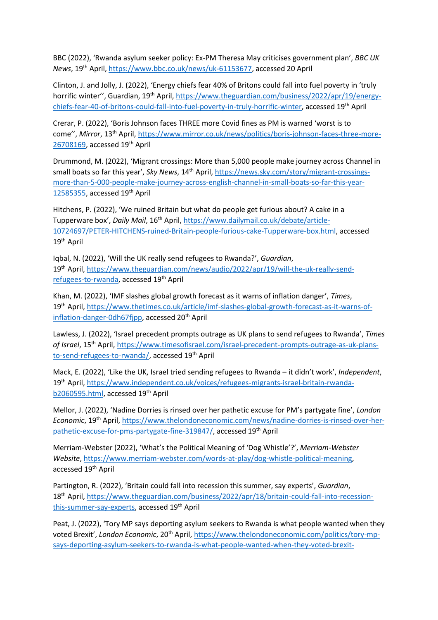BBC (2022), 'Rwanda asylum seeker policy: Ex-PM Theresa May criticises government plan', *BBC UK News*, 19th April, [https://www.bbc.co.uk/news/uk-61153677,](https://www.bbc.co.uk/news/uk-61153677) accessed 20 April

Clinton, J. and Jolly, J. (2022), 'Energy chiefs fear 40% of Britons could fall into fuel poverty in 'truly horrific winter", Guardian, 19<sup>th</sup> April, [https://www.theguardian.com/business/2022/apr/19/energy](https://www.theguardian.com/business/2022/apr/19/energy-chiefs-fear-40-of-britons-could-fall-into-fuel-poverty-in-truly-horrific-winter)[chiefs-fear-40-of-britons-could-fall-into-fuel-poverty-in-truly-horrific-winter,](https://www.theguardian.com/business/2022/apr/19/energy-chiefs-fear-40-of-britons-could-fall-into-fuel-poverty-in-truly-horrific-winter) accessed 19<sup>th</sup> April

Crerar, P. (2022), 'Boris Johnson faces THREE more Covid fines as PM is warned 'worst is to come", Mirror, 13<sup>th</sup> April, [https://www.mirror.co.uk/news/politics/boris-johnson-faces-three-more-](https://www.mirror.co.uk/news/politics/boris-johnson-faces-three-more-26708169)[26708169,](https://www.mirror.co.uk/news/politics/boris-johnson-faces-three-more-26708169) accessed 19th April

Drummond, M. (2022), 'Migrant crossings: More than 5,000 people make journey across Channel in small boats so far this year', *Sky News*, 14<sup>th</sup> April, [https://news.sky.com/story/migrant-crossings](https://news.sky.com/story/migrant-crossings-more-than-5-000-people-make-journey-across-english-channel-in-small-boats-so-far-this-year-12585355)[more-than-5-000-people-make-journey-across-english-channel-in-small-boats-so-far-this-year-](https://news.sky.com/story/migrant-crossings-more-than-5-000-people-make-journey-across-english-channel-in-small-boats-so-far-this-year-12585355)[12585355,](https://news.sky.com/story/migrant-crossings-more-than-5-000-people-make-journey-across-english-channel-in-small-boats-so-far-this-year-12585355) accessed 19th April

Hitchens, P. (2022), 'We ruined Britain but what do people get furious about? A cake in a Tupperware box', *Daily Mail*, 16th April, [https://www.dailymail.co.uk/debate/article-](https://www.dailymail.co.uk/debate/article-10724697/PETER-HITCHENS-ruined-Britain-people-furious-cake-Tupperware-box.html)[10724697/PETER-HITCHENS-ruined-Britain-people-furious-cake-Tupperware-box.html,](https://www.dailymail.co.uk/debate/article-10724697/PETER-HITCHENS-ruined-Britain-people-furious-cake-Tupperware-box.html) accessed 19th April

Iqbal, N. (2022), 'Will the UK really send refugees to Rwanda?', *Guardian*, 19th April, [https://www.theguardian.com/news/audio/2022/apr/19/will-the-uk-really-send](https://www.theguardian.com/news/audio/2022/apr/19/will-the-uk-really-send-refugees-to-rwanda)[refugees-to-rwanda,](https://www.theguardian.com/news/audio/2022/apr/19/will-the-uk-really-send-refugees-to-rwanda) accessed 19th April

Khan, M. (2022), 'IMF slashes global growth forecast as it warns of inflation danger', *Times*, 19th April, [https://www.thetimes.co.uk/article/imf-slashes-global-growth-forecast-as-it-warns-of](https://www.thetimes.co.uk/article/imf-slashes-global-growth-forecast-as-it-warns-of-inflation-danger-0dh67fjpp)[inflation-danger-0dh67fjpp,](https://www.thetimes.co.uk/article/imf-slashes-global-growth-forecast-as-it-warns-of-inflation-danger-0dh67fjpp) accessed 20<sup>th</sup> April

Lawless, J. (2022), 'Israel precedent prompts outrage as UK plans to send refugees to Rwanda', *Times of Israel*, 15th April, [https://www.timesofisrael.com/israel-precedent-prompts-outrage-as-uk-plans](https://www.timesofisrael.com/israel-precedent-prompts-outrage-as-uk-plans-to-send-refugees-to-rwanda/)[to-send-refugees-to-rwanda/,](https://www.timesofisrael.com/israel-precedent-prompts-outrage-as-uk-plans-to-send-refugees-to-rwanda/) accessed 19<sup>th</sup> April

Mack, E. (2022), 'Like the UK, Israel tried sending refugees to Rwanda – it didn't work', *Independent*, 19th April, [https://www.independent.co.uk/voices/refugees-migrants-israel-britain-rwanda](https://www.independent.co.uk/voices/refugees-migrants-israel-britain-rwanda-b2060595.html)[b2060595.html,](https://www.independent.co.uk/voices/refugees-migrants-israel-britain-rwanda-b2060595.html) accessed 19<sup>th</sup> April

Mellor, J. (2022), 'Nadine Dorries is rinsed over her pathetic excuse for PM's partygate fine', *London Economic*, 19th April, [https://www.thelondoneconomic.com/news/nadine-dorries-is-rinsed-over-her](https://www.thelondoneconomic.com/news/nadine-dorries-is-rinsed-over-her-pathetic-excuse-for-pms-partygate-fine-319847/)[pathetic-excuse-for-pms-partygate-fine-319847/,](https://www.thelondoneconomic.com/news/nadine-dorries-is-rinsed-over-her-pathetic-excuse-for-pms-partygate-fine-319847/) accessed 19<sup>th</sup> April

Merriam-Webster (2022), 'What's the Political Meaning of 'Dog Whistle'?', *Merriam-Webster Website*, [https://www.merriam-webster.com/words-at-play/dog-whistle-political-meaning,](https://www.merriam-webster.com/words-at-play/dog-whistle-political-meaning) accessed 19th April

Partington, R. (2022), 'Britain could fall into recession this summer, say experts', *Guardian*, 18th April, [https://www.theguardian.com/business/2022/apr/18/britain-could-fall-into-recession](https://www.theguardian.com/business/2022/apr/18/britain-could-fall-into-recession-this-summer-say-experts)[this-summer-say-experts,](https://www.theguardian.com/business/2022/apr/18/britain-could-fall-into-recession-this-summer-say-experts) accessed 19<sup>th</sup> April

Peat, J. (2022), 'Tory MP says deporting asylum seekers to Rwanda is what people wanted when they voted Brexit', London Economic, 20<sup>th</sup> April, [https://www.thelondoneconomic.com/politics/tory-mp](https://www.thelondoneconomic.com/politics/tory-mp-says-deporting-asylum-seekers-to-rwanda-is-what-people-wanted-when-they-voted-brexit-319963/?utm_medium=onesignal&utm_source=onesignalwp&utm_campaign=sitepush)[says-deporting-asylum-seekers-to-rwanda-is-what-people-wanted-when-they-voted-brexit-](https://www.thelondoneconomic.com/politics/tory-mp-says-deporting-asylum-seekers-to-rwanda-is-what-people-wanted-when-they-voted-brexit-319963/?utm_medium=onesignal&utm_source=onesignalwp&utm_campaign=sitepush)